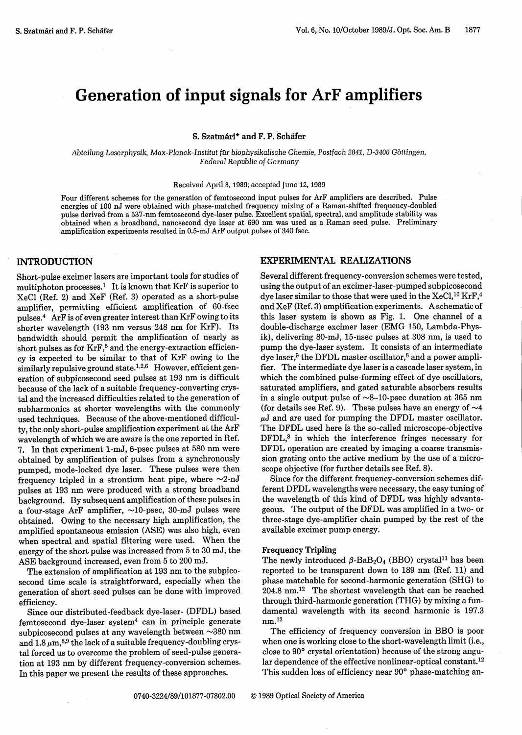# Generation of input signals for ArF amplifiers

**S. Szatmari\* and F.** P. **Schafer**

Abteilung Laserphysik, Max-Planck-Institut *fur* biophysikalische Chemie, Postfach *2841, D-3400* Gbttingen, Federal Republic *of* Germany

#### Received April 3, 1989; accepted June 12, 1989

Four different schemes for the generation of femtosecond input pulses for ArF amplifiers are described. Pulse energies of 100 nJ were obtained with phase-matched frequency mixing of a Raman-shifted frequency-doubled pulse derived from a 537-nm femtosecond dye-laser pulse. Excellent spatial, spectral, and amplitude stability was obtained when a broadband, nanosecond dye laser at 690 nm was used as a Raman seed pulse. Preliminary amplification experiments resulted in 0.5-mJ ArF output pulses of 340 fsec.

## INTRODUCTION

Short-pulse excimer lasers are important tools for studies of multiphoton processes.<sup>1</sup> It is known that  $KrF$  is superior to XeCl (Ref. 2) and XeF (Ref. 3) operated as a short-pulse amplifier, permitting efficient amplification of 60-fsec pulses.<sup>4</sup> ArF is of even greater interest than KrF owing to its shorter wavelength (193 nm versus 248 nm for KrF). Its bandwidth should permit the amplification of nearly as short pulses as for KrF,<sup>5</sup> and the energy-extraction efficiency is expected to be similar to that of KrF owing to the similarly repulsive ground state.<sup>1,2,6</sup> However, efficient generation of subpicosecond seed pulses at 193 nm is difficult because of the lack of a suitable frequency-converting crystal and the increased difficulties related to the generation of subharmonics at shorter wavelengths with the commonly used techniques. Because of the above-mentioned difficulty, the only short-pulse amplification experiment at the ArF wavelength of which we are aware is the one reported in Ref. 7. In that experiment 1-mJ, 6-psec pulses at 580 nm were obtained by amplification of pulses from a synchronously pumped, mode-locked dye laser. These pulses were then frequency tripled in a strontium heat pipe, where  $\sim$ 2-nJ pulses at 193 nm were produced with a strong broadband background. By subsequent amplification of these pulses in a four-stage ArF amplifier,  $\sim$ 10-psec, 30-mJ pulses were obtained. Owing to the necessary high amplification, the amplified spontaneous emission (ASE) was also high, even when spectral and spatial filtering were used. When the energy of the short pulse was increased from 5 to 30 mJ, the ASE background increased, even from 5 to 200 mJ.

The extension of amplification at 193 nm to the subpicosecond time scale is straightforward, especially when the generation of short seed pulses can be done with improved efficiency.

Since our distributed-feedback dye-laser- (DFDL) based femtosecond dye-laser system4 can in principle generate subpicosecond pulses at any wavelength between  $\sim$ 380 nm and  $1.8\,\mu{\rm m},^{8,9}$  the lack of a suitable frequency-doubling crystal forced us to overcome the problem of seed-pulse generation at 193 nm by different frequency-conversion schemes. In this paper we present the results of these approaches.

# EXPERIMENTAL REALIZATIONS

Several different frequency-conversion schemes were tested, using the output of an excimer-laser-pumped subpicosecond dye laser similar to those that were used in the  $XeCl,^{10}KrF,^{4}$ and XeF (Ref. 3) amplification experiments. A schematic of this laser system is shown as Fig. 1. One channel of a double-discharge excimer laser (EMG 150, Lambda-Physik), delivering 80-mJ, 15-nsec pulses at 308 nm, is used to pump the dye-laser system. It consists of an intermediate dye laser, <sup>9</sup> the DFDL master oscillator, <sup>8</sup> and a power amplifier. The intermediate dye laser is a cascade laser system, in which the combined pulse-forming effect of dye oscillators, saturated amplifiers, and gated saturable absorbers results in a single output pulse of  $\sim$ 8-10-psec duration at 365 nm (for details see Ref. 9). These pulses have an energy of  $\sim$ 4  $\mu$ J and are used for pumping the DFDL master oscillator. The DFDL used here is the so-called microscope-objective DFDL,<sup>8</sup> in which the interference fringes necessary for DFDL operation are created by imaging a coarse transmission grating onto the active medium by the use of a microscope objective (for further details see Ref. 8).

Since for the different frequency-conversion schemes different DFDL wavelengths were necessary, the easy tuning of the wavelength of this kind of DFDL was highly advantageous. The output of the DFDL was amplified in a two- or three-stage dye-amplifier chain pumped by the rest of the available excimer pump energy.

#### **Frequency Tripling**

The newly introduced  $\beta$ -BaB<sub>2</sub>O<sub>4</sub> (BBO) crystal<sup>11</sup> has been reported to be transparent down to 189 nm (Ref. 11) and phase matchable for second-harmonic generation (SHG) to 204.8 nm.12 The shortest wavelength that can be reached through third-harmonic generation (THG) by mixing a fundamental wavelength with its second harmonic is 197.3  $nm<sup>13</sup>$ 

The efficiency of frequency conversion in BBO is poor when one is working close to the short-wavelength limit (i.e., close to **900** crystal orientation) because of the strong angular dependence of the effective nonlinear-optical constant.<sup>12</sup> This sudden loss of efficiency near 90° phase-matching an-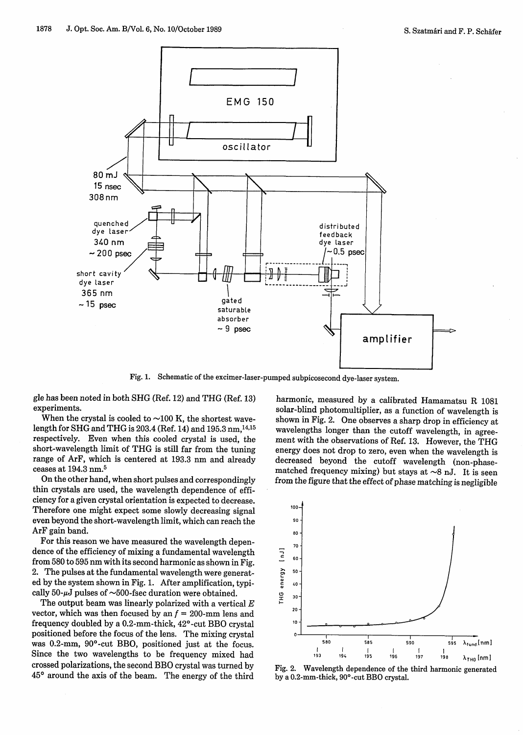

Fig. 1. Schematic of the excimer-laser-pumped subpicosecond dye-laser system.

gle has been noted in both SHG (Ref. 12) and THG (Ref. 13) experiments.

When the crystal is cooled to  $\sim$ 100 K, the shortest wave $length$  for SHG and THG is 203.4 (Ref. 14) and 195.3 nm,  $^{14,15}$ respectively. Even when this cooled crystal is used, the short-wavelength limit of THG is still far from the tuning range of ArF, which is centered at 193.3 nm and already ceases at 194.3 nm.<sup>5</sup>

On the other hand, when short pulses and correspondingly thin crystals are used, the wavelength dependence of efficiency for a given crystal orientation is expected to decrease. Therefore one might expect some slowly decreasing signal even beyond the short-wavelength limit, which can reach the ArF gain band.

For this reason we have measured the wavelength dependence of the efficiency of mixing a fundamental wavelength from 580 to 595 nm with its second harmonic as shown in Fig. 2. The pulses at the fundamental wavelength were generated by the system shown in Fig. 1. After amplification, typically 50- $\mu$ J pulses of  $\sim$ 500-fsec duration were obtained.

The output beam was linearly polarized with a vertical  $E$ vector, which was then focused by an  $f = 200$ -mm lens and frequency doubled by a 0.2-mm-thick, 420 -cut BBO crystal positioned before the focus of the lens. The mixing crystal was 0.2-mm, 90°-cut BBO, positioned just at the focus. Since the two wavelengths to be frequency mixed had crossed polarizations, the second BBO crystal was turned by **450** around the axis of the beam. The energy of the third

harmonic, measured by a calibrated Hamamatsu R 1081 solar-blind photomultiplier, as a function of wavelength is shown in Fig. 2. One observes a sharp drop in efficiency at wavelengths longer than the cutoff wavelength, in agreement with the observations of Ref. 13. However, the THG energy does not drop to zero, even when the wavelength is decreased beyond the cutoff wavelength (non-phasematched frequency mixing) but stays at  $\sim$ 8 nJ. It is seen from the figure that the effect of phase matching is negligible



Fig. 2. Wavelength dependence of the third harmonic generated by a 0.2-mm-thick, 90°-cut BBO crystal.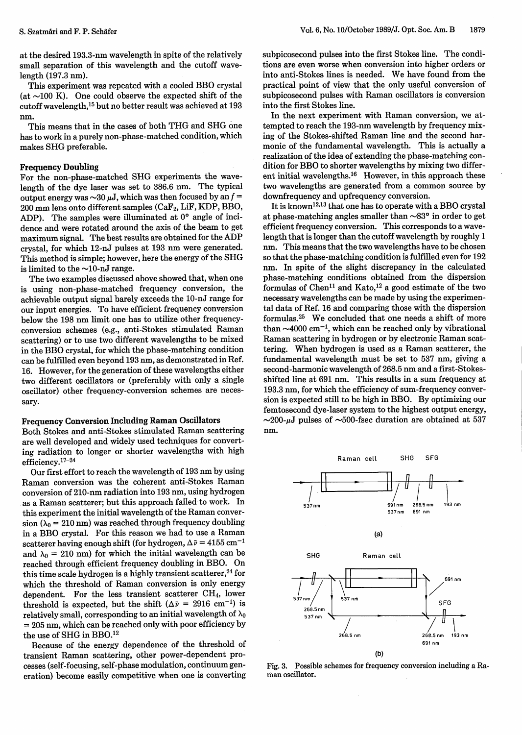at the desired 193.3-nm wavelength in spite of the relatively small separation of this wavelength and the cutoff wavelength (197.3 nm).

This experiment was repeated with a cooled BBO crystal (at  $\sim$ 100 K). One could observe the expected shift of the cutoff wavelength,'5 but no better result was achieved at 193 nm.

This means that in the cases of both THG and SHG one has to work in a purely non-phase-matched condition, which makes SHG preferable.

#### **Frequency Doubling**

For the non-phase-matched SHG experiments the wavelength of the dye laser was set to 386.6 nm. The typical output energy was  $\sim$ 30  $\mu$ J, which was then focused by an f =  $200$  mm lens onto different samples (CaF<sub>2</sub>, LiF, KDP, BBO, ADP). The samples were illuminated at 0° angle of incidence and were rotated around the axis of the beam to get maximum signal. The best results are obtained for the ADP crystal, for which 12-nJ pulses at 193 nm were generated. This method is simple; however, here the energy of the SHG is limited to the  $\sim$ 10-nJ range.

The two examples discussed above showed that, when one is using non-phase-matched frequency conversion, the achievable output signal barely exceeds the 10-nJ range for our input energies. To have efficient frequency conversion below the 198 nm limit one has to utilize other frequencyconversion schemes (e.g., anti-Stokes stimulated Raman scattering) or to use two different wavelengths to be mixed in the BBO crystal, for which the phase-matching condition can be fulfilled even beyond 193 nm, as demonstrated in Ref. 16. However, for the generation of these wavelengths either two different oscillators or (preferably with only a single oscillator) other frequency-conversion schemes are necessary.

# **Frequency Conversion Including Raman Oscillators**

Both Stokes and anti-Stokes stimulated Raman scattering are well developed and widely used techniques for converting radiation to longer or shorter wavelengths with high efficiency.<sup>17-24</sup>

Our first effort to reach the wavelength of 193 nm by using Raman conversion was the coherent anti-Stokes Raman conversion of 210-nm radiation into 193 nm, using hydrogen as a Raman scatterer; but this approach failed to work. In this experiment the initial wavelength of the Raman conversion ( $\lambda_0 = 210$  nm) was reached through frequency doubling in a BBO crystal. For this reason we had to use a Raman scatterer having enough shift (for hydrogen,  $\Delta \bar{\nu} = 4155 \text{ cm}^{-1}$ and  $\lambda_0 = 210$  nm) for which the initial wavelength can be reached through efficient frequency doubling in BBO. On this time scale hydrogen is a highly transient scatterer, <sup>24</sup> for which the threshold of Raman conversion is only energy dependent. For the less transient scatterer CH4, lower threshold is expected, but the shift ( $\Delta \bar{v}$  = 2916 cm<sup>-1</sup>) is relatively small, corresponding to an initial wavelength of  $\lambda_0$  $= 205$  nm, which can be reached only with poor efficiency by the use of SHG in BBO.<sup>12</sup>

Because of the energy dependence of the threshold of transient Raman scattering, other power-dependent processes (self-focusing, self-phase modulation, continuum generation) become easily competitive when one is converting

subpicosecond pulses into the first Stokes line. The conditions are even worse when conversion into higher orders or into anti-Stokes lines is needed. We have found from the practical point of view that the only useful conversion of subpicosecond pulses with Raman oscillators is conversion into the first Stokes line.

In the next experiment with Raman conversion, we attempted to reach the 193-nm wavelength by frequency mixing of the Stokes-shifted Raman line and the second harmonic of the fundamental wavelength. This is actually a realization of the idea of extending the phase-matching condition for BBO to shorter wavelengths by mixing two different initial wavelengths.'6 However, in this approach these two wavelengths are generated from a common source by downfrequency and upfrequency conversion.

It is known<sup>12,13</sup> that one has to operate with a BBO crystal at phase-matching angles smaller than  $\sim 83^\circ$  in order to get efficient frequency conversion. This corresponds to a wavelength that is longer than the cutoff wavelength by roughly 1 nm. This means that the two wavelengths have to be chosen so that the phase-matching condition is fulfilled even for 192 nm. In spite of the slight discrepancy in the calculated phase-matching conditions obtained from the dispersion formulas of Chen<sup>11</sup> and Kato,<sup>12</sup> a good estimate of the two necessary wavelengths can be made by using the experimental data of Ref. 16 and comparing those with the dispersion formulas.25 We concluded that one needs a shift of more than  $\sim$ 4000 cm<sup>-1</sup>, which can be reached only by vibrational Raman scattering in hydrogen or by electronic Raman scattering. When hydrogen is used as a Raman scatterer, the fundamental wavelength must be set to 537 nm, giving a second-harmonic wavelength of 268.5 nm and a first-Stokesshifted line at 691 nm. This results in a sum frequency at 193.3 nm, for which the efficiency of sum-frequency conversion is expected still to be high in BBO. By optimizing our femtosecond dye-laser system to the highest output energy,  $\sim$ 200- $\mu$ J pulses of  $\sim$ 500-fsec duration are obtained at 537 nm.



Fig. 3. Possible schemes for frequency conversion including a Raman oscillator.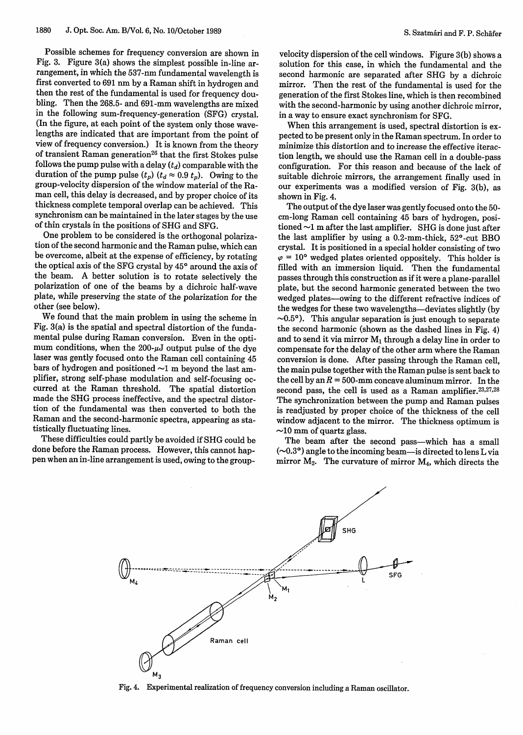Possible schemes for frequency conversion are shown in Fig. 3. Figure 3(a) shows the simplest possible in-line arrangement, in which the 537-nm fundamental wavelength is first converted to 691 nm by a Raman shift in hydrogen and then the rest of the fundamental is used for frequency doubling. Then the 268.5- and 691-mm wavelengths are mixed in the following sum-frequency-generation (SFG) crystal. (In the figure, at each point of the system only those wavelengths are indicated that are important from the point of view of frequency conversion.) It is known from the theory of transient Raman generation<sup>26</sup> that the first Stokes pulse follows the pump pulse with a delay  $(t_d)$  comparable with the duration of the pump pulse  $(t_p)$   $(t_d \approx 0.9 t_p)$ . Owing to the group-velocity dispersion of the window material of the Raman cell, this delay is decreased, and by proper choice of its thickness complete temporal overlap can be achieved. This synchronism can be maintained in the later stages by the use of thin crystals in the positions of SHG and SFG.

One problem to be considered is the orthogonal polarization of the second harmonic and the Raman pulse, which can be overcome, albeit at the expense of efficiency, by rotating the optical axis of the SFG crystal by **450** around the axis of the beam. A better solution is to rotate selectively the polarization of one of the beams by a dichroic half-wave plate, while preserving the state of the polarization for the other (see below).

We found that the main problem in using the scheme in Fig. 3(a) is the spatial and spectral distortion of the fundamental pulse during Raman conversion. Even in the optimum conditions, when the  $200 - \mu J$  output pulse of the dye laser was gently focused onto the Raman cell containing 45 bars of hydrogen and positioned  $\sim$ 1 m beyond the last amplifier, strong self-phase modulation and self-focusing occurred at the Raman threshold. The spatial distortion made the SHG process ineffective, and the spectral distortion of the fundamental was then converted to both the Raman and the second-harmonic spectra, appearing as statistically fluctuating lines.

These difficulties could partly be avoided if SHG could be done before the Raman process. However, this cannot happen when an in-line arrangement is used, owing to the groupvelocity dispersion of the cell windows. Figure 3(b) shows a solution for this case, in which the fundamental and the second harmonic are separated after SHG by a dichroic mirror. Then the rest of the fundamental is used for the generation of the first Stokes line, which is then recombined with the second-harmonic by using another dichroic mirror. in a way to ensure exact synchronism for SFG.

When this arrangement is used, spectral distortion is expected to be present only in the Raman spectrum. In order to minimize this distortion and to increase the effective iteraction length, we should use the Raman cell in a double-pass configuration. For this reason and because of the lack of suitable dichroic mirrors, the arrangement finally used in our experiments was a modified version of Fig. 3(b), as shown in Fig. 4.

The output of the dye laser was gently focused onto the 50 cm-long Raman cell containing 45 bars of hydrogen, positioned  $\sim$ 1 m after the last amplifier. SHG is done just after the last amplifier by using a  $0.2$ -mm-thick,  $52^{\circ}$ -cut BBO crystal. It is positioned in a special holder consisting of two  $\varphi = 10^{\circ}$  wedged plates oriented oppositely. This holder is filled with an immersion liquid. Then the fundamental passes through this construction as if it were a plane-parallel plate, but the second harmonic generated between the two wedged plates-owing to the different refractive indices of the wedges for these two wavelengths-deviates slightly (by  $\sim 0.5^{\circ}$ ). This angular separation is just enough to separate the second harmonic (shown as the dashed lines in Fig. 4) and to send it via mirror  $M_1$  through a delay line in order to compensate for the delay of the other arm where the Raman conversion is done. After passing through the Raman cell, the main pulse together with the Raman pulse is sent back to the cell by an  $R = 500$ -mm concave aluminum mirror. In the second pass, the cell is used as a Raman amplifier.<sup>23,27,28</sup> The synchronization between the pump and Raman pulses is readjusted by proper choice of the thickness of the cell window adjacent to the mirror. The thickness optimum is  $\sim$ 10 mm of quartz glass.

The beam after the second pass-which has a small  $(\sim 0.3)$  angle to the incoming beam-is directed to lens L via mirror  $M_2$ . The curvature of mirror  $M_4$ , which directs the



Fig. 4. Experimental realization of frequency conversion including a Raman oscillator.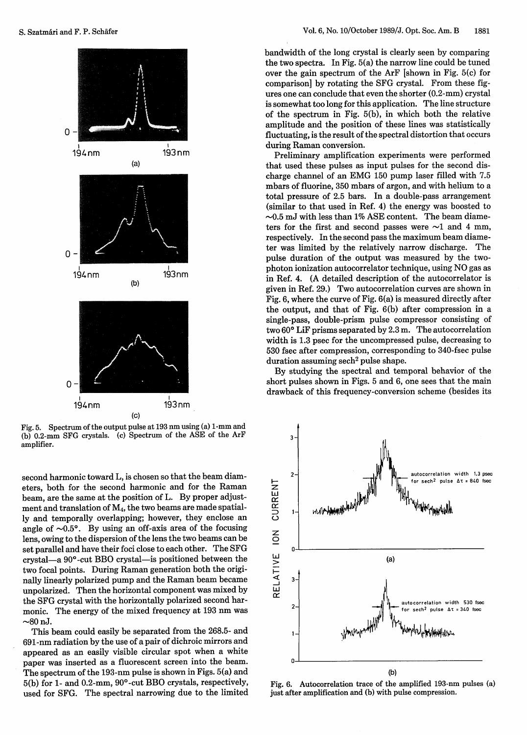

Fig. 5. Spectrum of the output pulse at 193 nm using (a) 1-mm and (b) 0.2-mm SFG crystals. (c) Spectrum of the ASE of the ArF amplifier.

second harmonic toward L, is chosen so that the beam diameters, both for the second harmonic and for the Raman beam, are the same at the position of L. By proper adjustment and translation of M4, the two beams are made spatially and temporally overlapping; however, they enclose an angle of  $\sim 0.5$ °. By using an off-axis area of the focusing lens, owing to the dispersion of the lens the two beams can be set parallel and have their foci close to each other. The SFG crystal-a 900-cut BBO crystal-is positioned between the two focal points. During Raman generation both the originally linearly polarized pump and the Raman beam became unpolarized. Then the horizontal component was mixed by the SFG crystal with the horizontally polarized second harmonic. The energy of the mixed frequency at 193 nm was  $\sim$ 80 nJ.

This beam could easily be separated from the 268.5- and 691-nm radiation by the use of a pair of dichroic mirrors and appeared as an easily visible circular spot when a white paper was inserted as a fluorescent screen into the beam. The spectrum of the 193-nm pulse is shown in Figs. 5(a) and 5(b) for 1- and 0.2-mm, 90'-cut BBO crystals, respectively, used for SFG. The spectral narrowing due to the limited bandwidth of the long crystal is clearly seen by comparing the two spectra. In Fig. 5(a) the narrow line could be tuned over the gain spectrum of the ArF [shown in Fig. 5(c) for comparison] by rotating the SFG crystal. From these figures one can conclude that even the shorter (0.2-mm) crystal is somewhat too long for this application. The line structure of the spectrum in Fig. 5(b), in which both the relative amplitude and the position of these lines was statistically fluctuating, is the result of the spectral distortion that occurs during Raman conversion.

Preliminary amplification experiments were performed that used these pulses as input pulses for the second discharge channel of an EMG 150 pump laser filled with 7.5 mbars of fluorine, 350 mbars of argon, and with helium to a total pressure of 2.5 bars. In a double-pass arrangement (similar to that used in Ref. 4) the energy was boosted to  $\sim$ 0.5 mJ with less than 1% ASE content. The beam diameters for the first and second passes were  $\sim$ 1 and 4 mm, respectively. In the second pass the maximum beam diameter was limited by the relatively narrow discharge. The pulse duration of the output was measured by the twophoton ionization autocorrelator technique, using NO gas as in Ref. 4. (A detailed description of the autocorrelator is given in Ref. 29.) Two autocorrelation curves are shown in Fig. 6, where the curve of Fig. 6(a) is measured directly after the output, and that of Fig. 6(b) after compression in a single-pass, double-prism pulse compressor consisting of two  $60^{\circ}$  LiF prisms separated by 2.3 m. The autocorrelation width is 1.3 psec for the uncompressed pulse, decreasing to 530 fsec after compression, corresponding to 340-fsec pulse duration assuming sech<sup>2</sup> pulse shape.

By studying the spectral and temporal behavior of the short pulses shown in Figs. 5 and 6, one sees that the main drawback of this frequency-conversion scheme (besides its



Fig. 6. Autocorrelation trace of the amplified 193-nm pulses (a) just after amplification and (b) with pulse compression.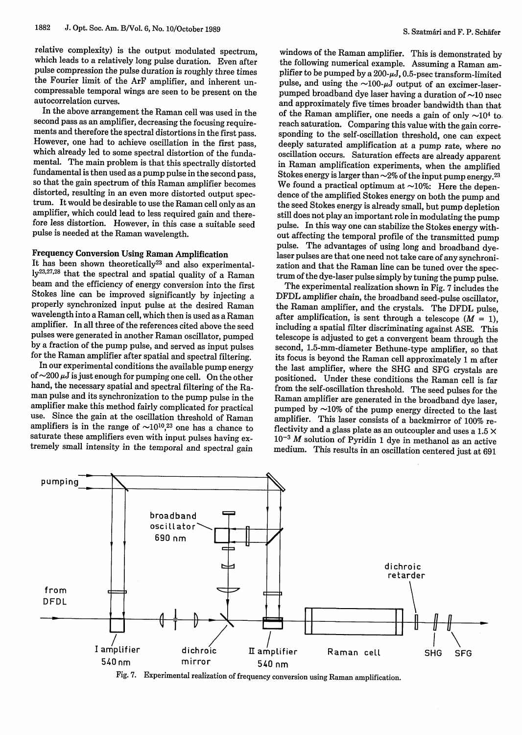relative complexity) is the output modulated spectrum, which leads to a relatively long pulse duration. Even after pulse compression the pulse duration is roughly three times the Fourier limit of the ArF amplifier, and inherent uncompressable temporal wings are seen to be present on the autocorrelation curves.

In the above arrangement the Raman cell was used in the second pass as an amplifier, decreasing the focusing require-However, one had to achieve oscillation in the first pass, which already led to some spectral distortion of the fundamental. The main problem is that this spectrally distorted fundamental is then used as a pump pulse in the second pass, so that the gain spectrum of this Raman amplifier becomes distorted, resulting in an even more distorted output spectrum. It would be desirable to use the Raman cell only as an amplifier, which could lead to less required gain and therefore less distortion. However, in this case a suitable seed pulse is needed at the Raman wavelength.

**Frequency Conversion Using Raman Amplification** ly<sup>23,27,28</sup> that the spectral and spatial quality of a Raman beam and the efficiency of energy conversion into the first Stokes line can be improved significantly by injecting a properly synchronized input pulse at the desired Raman wavelength into a Raman cell, which then is used as a Raman amplifier. In all three of the references cited above the seed pulses were generated in another Raman oscillator, pumped for the Raman amplifier after spatial and spectral filtering.<br>In our experimental conditions the available pump energy

of  $\sim$ 200  $\mu$ J is just enough for pumping one cell. On the other hand, the necessary spatial and spectral filtering of the Raman pulse and its synchronization to the pump pulse in the amplifier make this method fairly complicated for practical use. Since the gain at the oscillation threshold of Raman amplifiers is in the range of  $\sim 10^{10}$ ,<sup>23</sup> one has a chance to saturate these amplifiers even with input pulses having extremely small intensity in the temporal and spectral gain

windows of the Raman amplifier. This is demonstrated by the following numerical example. Assuming a Raman amplifier to be pumped by a  $200 - \mu J$ , 0.5-psec transform-limited pulse, and using the  $\sim$ 100- $\mu$ J output of an excimer-laserpumped broadband dye laser having a duration of  $\sim$ 10 nsec and approximately five times broader bandwidth than that of the Raman amplifier, one needs a gain of only  $\sim 10^4$  to. reach saturation. Comparing this value with the gain corre-<br>sponding to the self-oscillation threshold, one can expect deeply saturated amplification at a pump rate, where no<br>oscillation occurs. Saturation effects are already apparent in Raman amplification experiments, when the amplified Stokes energy is larger than  $\sim$  2% of the input pump energy.<sup>23</sup> We found a practical optimum at  $\sim$ 10%: Here the dependence of the amplified Stokes energy on both the pump and the seed Stokes energy is already small, but pump depletion still does not play an important role in modulating the pump<br>pulse. In this way one can stabilize the Stokes energy with-<br>out affecting the temporal profile of the transmitted pump pulse. The advantages of using long and broadband dyeleser pulses are that one need not take care of any synchronization and that the Raman line can be tuned over the spectrum of the dyeleser pulse simply by tuning the pum

The experimental realization shown in Fig. 7 includes the DFDL amplifier chain, the broadband seed-pulse oscillator, the Raman amplifier, and the crystals. The DFDL pulse, after amplification, is sent through a telescope ( $M = 1$ ), including a spatial filter discriminating against ASE. This telescope is adjusted to get a convergent beam through the second, 1.5-mm-diameter Bethune-type amplifier, so that its focus is beyond the Raman cell approximately 1 m after the last amplifier, where the SHG and SFG crystals are positioned. Under these conditions the Raman cell is far from the self-oscillation threshold. The seed pulses for the Raman amplifier are generated in the broadband dye laser, pumped by  $\sim$ 10% of the pump energy directed to the last amplifier. This laser consists of a backmirror of 100% reflectivity and a glass plate as an outcoupler and uses a 1.5  $\times$ **10-3** M solution of Pyridin 1 dye in methanol as an active medium. This results in an oscillation centered just at 691



Fig. 7. Experimental realization of frequency conversion using Raman amplification.